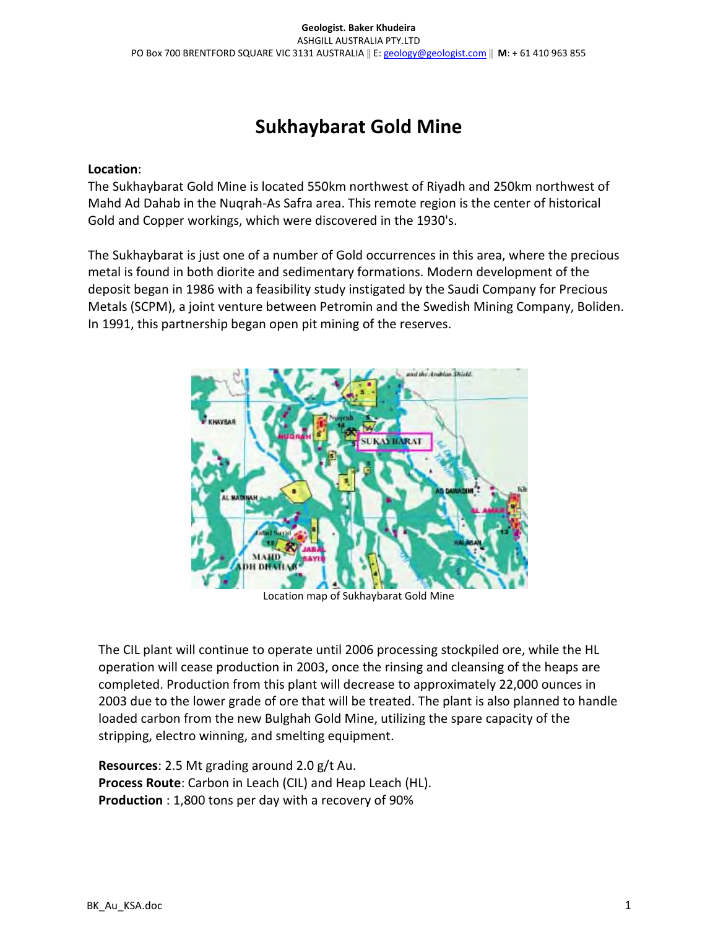# Sukhaybarat Gold Mine

#### Location:

The Sukhaybarat Gold Mine is located 550km northwest of Riyadh and 250km northwest of Mahd Ad Dahab in the Nuqrah-As Safra area. This remote region is the center of historical Gold and Copper workings, which were discovered in the 1930's.

The Sukhaybarat is just one of a number of Gold occurrences in this area, where the precious metal is found in both diorite and sedimentary formations. Modern development of the deposit began in 1986 with a feasibility study instigated by the Saudi Company for Precious Metals (SCPM), a joint venture between Petromin and the Swedish Mining Company, Boliden. In 1991, this partnership began open pit mining of the reserves.



Location map of Sukhaybarat Gold Mine

The CIL plant will continue to operate until 2006 processing stockpiled ore, while the HL operation will cease production in 2003, once the rinsing and cleansing of the heaps are completed. Production from this plant will decrease to approximately 22,000 ounces in 2003 due to the lower grade of ore that will be treated. The plant is also planned to handle loaded carbon from the new Bulghah Gold Mine, utilizing the spare capacity of the stripping, electro winning, and smelting equipment.

Resources: 2.5 Mt grading around 2.0 g/t Au. Process Route: Carbon in Leach (CIL) and Heap Leach (HL). Production : 1,800 tons per day with a recovery of 90%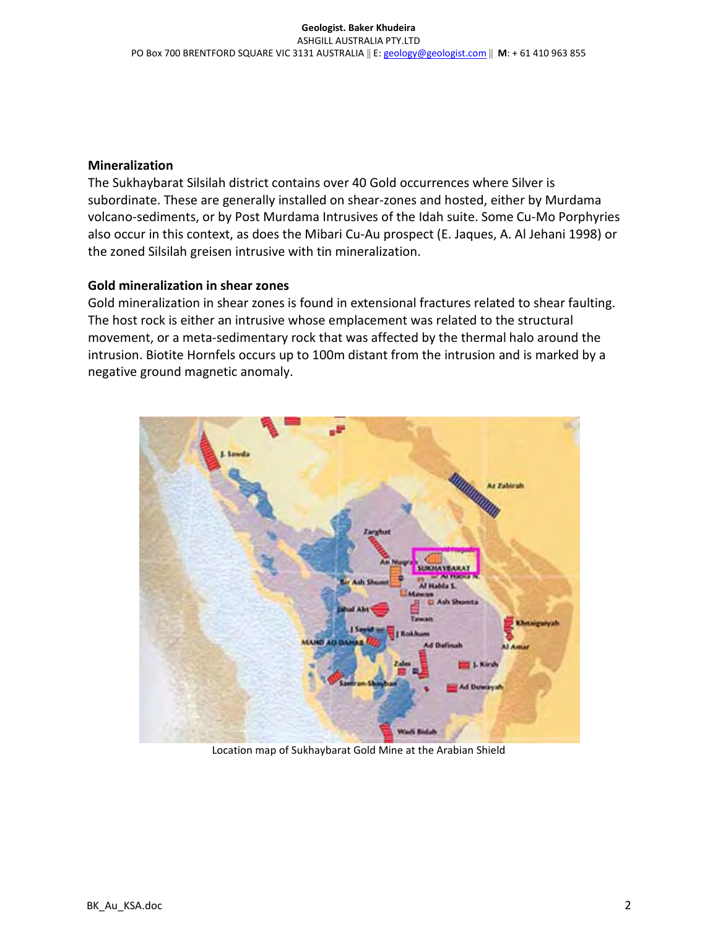## Mineralization

The Sukhaybarat Silsilah district contains over 40 Gold occurrences where Silver is subordinate. These are generally installed on shear-zones and hosted, either by Murdama volcano-sediments, or by Post Murdama Intrusives of the Idah suite. Some Cu-Mo Porphyries also occur in this context, as does the Mibari Cu-Au prospect (E. Jaques, A. Al Jehani 1998) or the zoned Silsilah greisen intrusive with tin mineralization.

## Gold mineralization in shear zones

Gold mineralization in shear zones is found in extensional fractures related to shear faulting. The host rock is either an intrusive whose emplacement was related to the structural movement, or a meta-sedimentary rock that was affected by the thermal halo around the intrusion. Biotite Hornfels occurs up to 100m distant from the intrusion and is marked by a negative ground magnetic anomaly.



Location map of Sukhaybarat Gold Mine at the Arabian Shield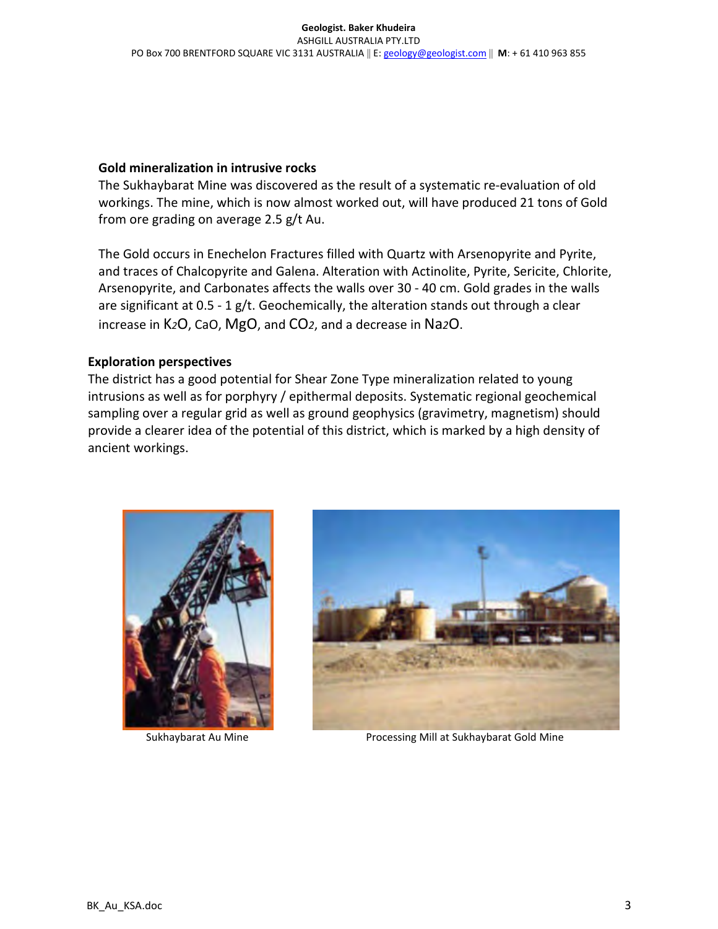## Gold mineralization in intrusive rocks

The Sukhaybarat Mine was discovered as the result of a systematic re-evaluation of old workings. The mine, which is now almost worked out, will have produced 21 tons of Gold from ore grading on average 2.5 g/t Au.

The Gold occurs in Enechelon Fractures filled with Quartz with Arsenopyrite and Pyrite, and traces of Chalcopyrite and Galena. Alteration with Actinolite, Pyrite, Sericite, Chlorite, Arsenopyrite, and Carbonates affects the walls over 30 - 40 cm. Gold grades in the walls are significant at  $0.5 - 1$  g/t. Geochemically, the alteration stands out through a clear increase in K2O, CaO, MgO, and CO2, and a decrease in Na2O.

## Exploration perspectives

The district has a good potential for Shear Zone Type mineralization related to young intrusions as well as for porphyry / epithermal deposits. Systematic regional geochemical sampling over a regular grid as well as ground geophysics (gravimetry, magnetism) should provide a clearer idea of the potential of this district, which is marked by a high density of ancient workings.





Sukhaybarat Au Mine Processing Mill at Sukhaybarat Gold Mine